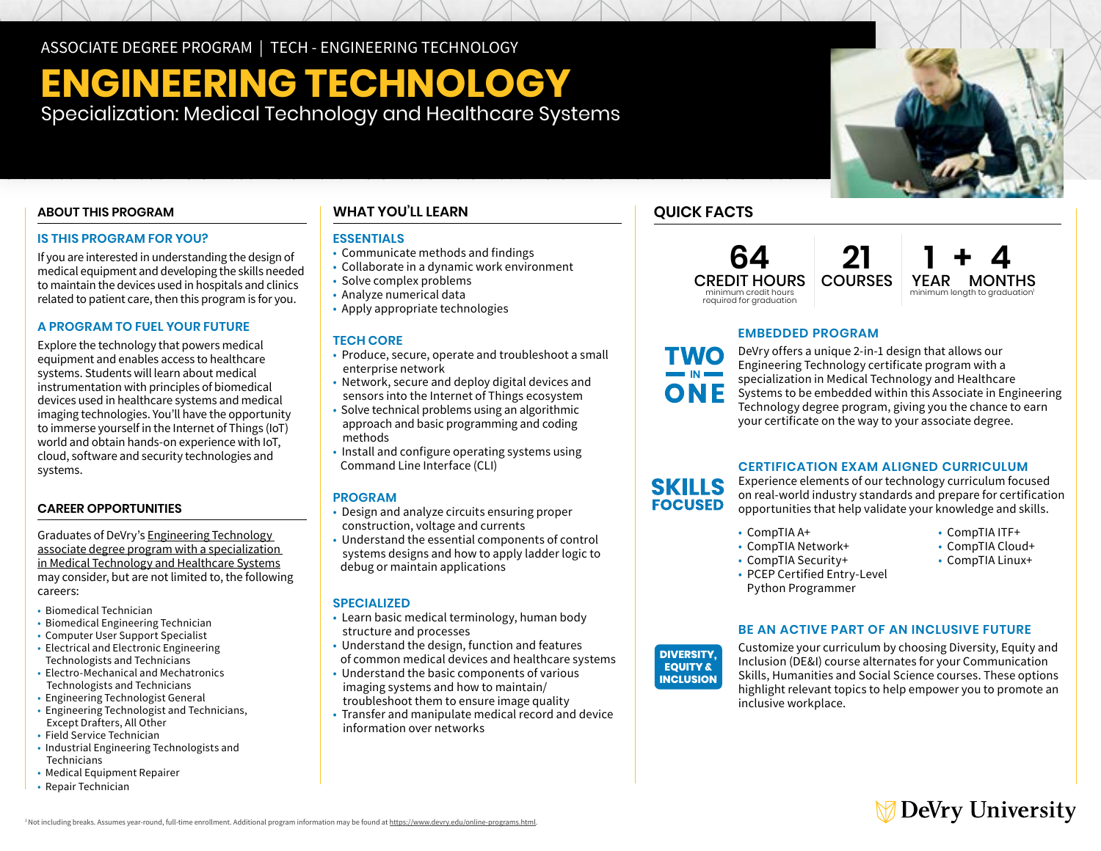ASSOCIATE DEGREE PROGRAM | TECH - ENGINEERING TECHNOLOGY

# **ENGINEERING TECHNOLOGY**

Specialization: Medical Technology and Healthcare Systems

## **ABOUT THIS PROGRAM**

## **IS THIS PROGRAM FOR YOU?**

If you are interested in understanding the design of medical equipment and developing the skills needed to maintain the devices used in hospitals and clinics related to patient care, then this program is for you.

## **A PROGRAM TO FUEL YOUR FUTURE**

Explore the technology that powers medical equipment and enables access to healthcare systems. Students will learn about medical instrumentation with principles of biomedical devices used in healthcare systems and medical imaging technologies. You'll have the opportunity to immerse yourself in the Internet of Things (IoT) world and obtain hands-on experience with IoT, cloud, software and security technologies and systems.

## **CAREER OPPORTUNITIES**

Graduates of DeVry's [Engineering Technology](https://www.devry.edu/associate-degrees/engineering-technology/medical-technology-healthcare-systems-specialization.html)  [associate degree program with a specialization](https://www.devry.edu/associate-degrees/engineering-technology/medical-technology-healthcare-systems-specialization.html)  [in Medical Technology and Healthcare Systems](https://www.devry.edu/associate-degrees/engineering-technology/medical-technology-healthcare-systems-specialization.html) may consider, but are not limited to, the following careers:

- Biomedical Technician
- Biomedical Engineering Technician
- Computer User Support Specialist
- Electrical and Electronic Engineering Technologists and Technicians
- Electro-Mechanical and Mechatronics Technologists and Technicians
- Engineering Technologist General
- Engineering Technologist and Technicians, Except Drafters, All Other
- Field Service Technician
- Industrial Engineering Technologists and Technicians
- Medical Equipment Repairer
- Repair Technician

## **WHAT YOU'LL LEARN**

## **ESSENTIALS**

- Communicate methods and findings
- Collaborate in a dynamic work environment
- Solve complex problems
- Analyze numerical data
- Apply appropriate technologies

## **TECH CORE**

- Produce, secure, operate and troubleshoot a small enterprise network
- Network, secure and deploy digital devices and sensors into the Internet of Things ecosystem
- Solve technical problems using an algorithmic approach and basic programming and coding methods
- Install and configure operating systems using Command Line Interface (CLI)

#### **PROGRAM**

- Design and analyze circuits ensuring proper construction, voltage and currents
- Understand the essential components of control systems designs and how to apply ladder logic to debug or maintain applications

## **SPECIALIZED**

- Learn basic medical terminology, human body structure and processes
- Understand the design, function and features of common medical devices and healthcare systems
- Understand the basic components of various imaging systems and how to maintain/ troubleshoot them to ensure image quality
- Transfer and manipulate medical record and device information over networks

## **QUICK FACTS**

**TWO** 

ONE

**SKILLS FOCUSED** 

**64** CREDIT HOURS minimum credit hours required for graduation

**1+4 YEAR MONTHS**  minimum length to graduation1 **COURSES** 

## **EMBEDDED PROGRAM**

**21**

DeVry offers a unique 2-in-1 design that allows our Engineering Technology certificate program with a specialization in Medical Technology and Healthcare Systems to be embedded within this Associate in Engineering Technology degree program, giving you the chance to earn your certificate on the way to your associate degree.

## **CERTIFICATION EXAM ALIGNED CURRICULUM**

Experience elements of our technology curriculum focused on real-world industry standards and prepare for certification opportunities that help validate your knowledge and skills.

- 
- CompTIA A+ CompTIA ITF+  $\cdot$  CompTIA Network+
- CompTIA Security+<br>• CompTIA Linux+
- 
- -
- PCEP Certified Entry-Level Python Programmer

## **BE AN ACTIVE PART OF AN INCLUSIVE FUTURE**



Customize your curriculum by choosing Diversity, Equity and Inclusion (DE&I) course alternates for your Communication Skills, Humanities and Social Science courses. These options highlight relevant topics to help empower you to promote an inclusive workplace.

## **DeVry University**